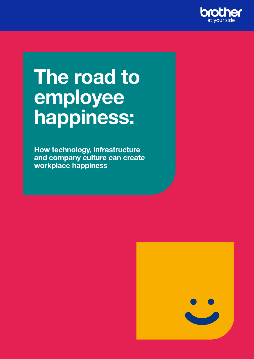

# The road to employee happiness:

How technology, infrastructure and company culture can create workplace happiness

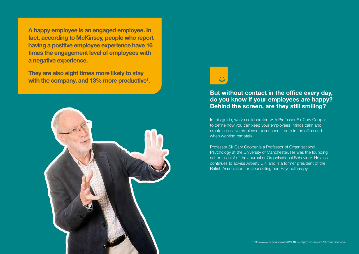

In this guide, we've collaborated with Professor Sir Cary Cooper, to define how you can keep your employees' minds calm and create a positive employee experience – both in the office and when working remotely.

They are also eight times more likely to stay with the company, and 13% more productive<sup>1</sup>.

> Professor Sir Cary Cooper is a Professor of Organisational Psychology at the University of Manchester. He was the founding editor-in-chief of the Journal or Organisational Behaviour. He also continues to advise Anxiety UK, and is a former president of the British Association for Counselling and Psychotherapy.

A happy employee is an engaged employee. In fact, according to McKinsey, people who report having a positive employee experience have 16 times the engagement level of employees with a negative experience.

### But without contact in the office every day, do you know if your employees are happy? Behind the screen, are they still smiling?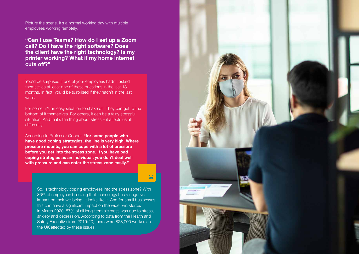You'd be surprised if one of your employees hadn't asked themselves at least one of these questions in the last 18 months. In fact, you'd be surprised if they hadn't in the last week.

For some, it's an easy situation to shake off. They can get to the bottom of it themselves. For others, it can be a fairly stressful situation. And that's the thing about stress – it affects us all differently.

According to Professor Cooper, "for some people who have good coping strategies, the line is very high. Where pressure mounts, you can cope with a lot of pressure before you get into the stress zone. If you have bad coping strategies as an individual, you don't deal well with pressure and can enter the stress zone easily."

So, is technology tipping employees into the stress zone? With 86% of employees believing that technology has a negative impact on their wellbeing, it looks like it. And for small businesses, this can have a significant impact on the wider workforce. In March 2020, 57% of all long-term sickness was due to stress, anxiety and depression. According to data from the Health and Safety Executive from 2019/20, there were 828,000 workers in the UK affected by these issues.



Picture the scene. It's a normal working day with multiple employees working remotely.

"Can I use Teams? How do I set up a Zoom call? Do I have the right software? Does the client have the right technology? Is my printer working? What if my home internet cuts off?"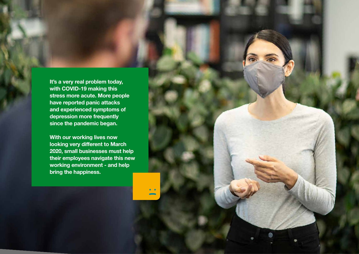It's a very real problem today, with COVID-19 making this stress more acute. More people have reported panic attacks and experienced symptoms of depression more frequently since the pandemic began.

With our working lives now looking very different to March 2020, small businesses must help their employees navigate this new working environment - and help bring the happiness.

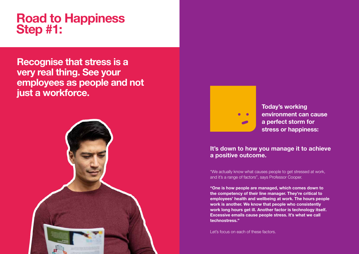Today's working environment can cause a perfect storm for stress or happiness:

"We actually know what causes people to get stressed at work, and it's a range of factors", says Professor Cooper.

"One is how people are managed, which comes down to the competency of their line manager. They're critical to employees' health and wellbeing at work. The hours people work is another. We know that people who consistently work long hours get ill. Another factor is technology itself. Excessive emails cause people stress. It's what we call technostress."

Let's focus on each of these factors.

### It's down to how you manage it to achieve a positive outcome.

## Recognise that stress is a very real thing. See your employees as people and not just a workforce.





# Road to Happiness Step #1: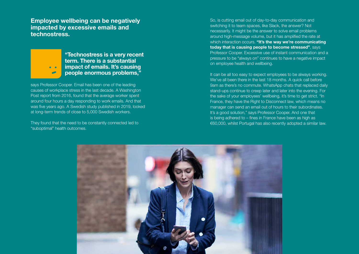says Professor Cooper. Email has been one of the leading causes of workplace stress in the last decade. A Washington Post report from 2016, found that the average worker spent around four hours a day responding to work emails. And that was five years ago. A Swedish study published in 2019, looked at long-term trends of close to 5,000 Swedish workers.

They found that the need to be constantly connected led to "suboptimal" health outcomes.

"Technostress is a very recent term. There is a substantial impact of emails. It's causing people enormous problems,"

Employee wellbeing can be negatively impacted by excessive emails and technostress.

> It can be all too easy to expect employees to be always working. We've all been there in the last 18 months. A quick call before 9am as there's no commute. WhatsApp chats that replaced daily stand-ups continue to creep later and later into the evening. For the sake of your employees' wellbeing, it's time to get strict. "In France, they have the Right to Disconnect law, which means no manager can send an email out of hours to their subordinates. It's a good solution," says Professor Cooper. And one that is being adhered to – fines in France have been as high as €60,000, whilst Portugal has also recently adopted a similar law.



So, is cutting email out of day-to-day communication and switching it to team spaces, like Slack, the answer? Not necessarily. It might be the answer to solve email problems around high-message volume, but it has amplified the rate at which interaction occurs. "It's the way we're communicating today that is causing people to become stressed", says Professor Cooper. Excessive use of instant communication and a pressure to be "always on" continues to have a negative impact on employee health and wellbeing.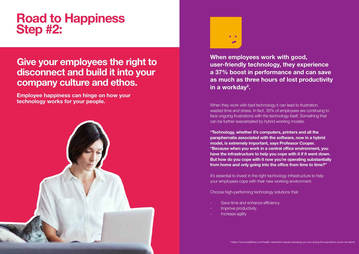### Give your employees the right to disconnect and build it into your company culture and ethos.

When they work with bad technology it can lead to frustration, wasted time and stress. In fact, 35% of employees are continuing to face ongoing frustrations with the technology itself. Something that can be further exacerbated by hybrid working models.

When employees work with good, user-friendly technology, they experience a 37% boost in performance and can save in a workday<sup>2</sup>.

"Technology, whether it's computers, printers and all the paraphernalia associated with the software, now in a hybrid model, is extremely important, says Professor Cooper. "Because when you work in a central office environment, you have the infrastructure to help you cope with it if it went down. But how do you cope with it now you're operating substantially from home and only going into the office from time to time?"

It's essential to invest in the right technology infrastructure to help your employees cope with their new working environment.

Choose high-performing technology solutions that:

- Save time and enhance efficiency
- Improve productivity
- Increase agility

# as much as three hours of lost productivity

Employee happiness can hinge on how your technology works for your people.





# Road to Happiness Step #2: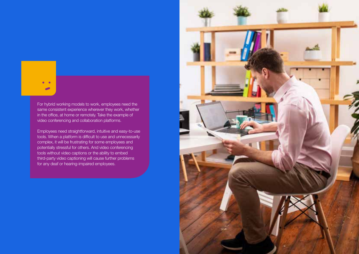

For hybrid working models to work, employees need the same consistent experience wherever they work, whether in the office, at home or remotely. Take the example of video conferencing and collaboration platforms.

Employees need straightforward, intuitive and easy-to-use tools. When a platform is difficult to use and unnecessarily complex, it will be frustrating for some employees and potentially stressful for others. And video conferencing tools without video captions or the ability to embed third-party video captioning will cause further problems for any deaf or hearing-impaired employees.

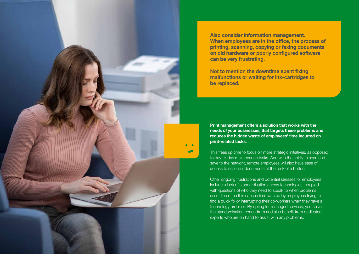Print management offers a solution that works with the needs of your businesses, that targets these problems and reduces the hidden waste of employees' time incurred on print-related tasks.

This frees up time to focus on more strategic initiatives, as opposed to day-to-day maintenance tasks. And with the ability to scan and save to the network, remote employees will also have ease of access to essential documents at the click of a button.

Other ongoing frustrations and potential stresses for employees include a lack of standardisation across technologies, coupled with questions of who they need to speak to when problems arise. Too often this causes time wasted by employees trying to find a quick fix or interrupting their co-workers when they have a technology problem. By opting for managed services, you solve the standardisation conundrum and also benefit from dedicated experts who are on hand to assist with any problems.



Also consider information management. When employees are in the office, the process of printing, scanning, copying or faxing documents on old hardware or poorly configured software can be very frustrating.

Not to mention the downtime spent fixing malfunctions or waiting for ink-cartridges to be replaced.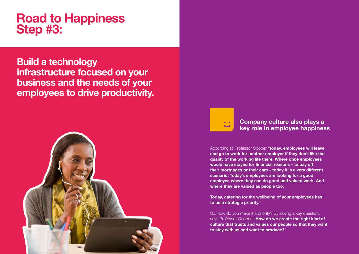According to Professor Cooper "today, employees will leave and go to work for another employer if they don't like the quality of the working life there. Where once employees would have stayed for financial reasons – to pay off their mortgages or their cars – today it is a very different scenario. Today's employees are looking for a good employer, where they can do good and valued work. And where they are valued as people too.

Today, catering for the wellbeing of your employees has to be a strategic priority."

So, how do you make it a priority? By asking a key question, says Professor Cooper. "How do we create the right kind of culture that trusts and values our people so that they want to stay with us and want to produce?"

### Company culture also plays a key role in employee happiness

## Build a technology infrastructure focused on your business and the needs of your employees to drive productivity.



 $\bullet$   $\bullet$ 

# Road to Happiness Step #3: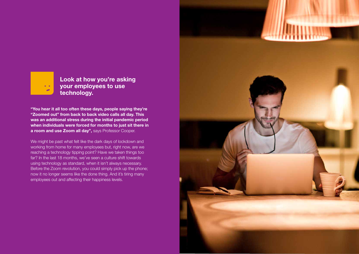We might be past what felt like the dark days of lockdown and working from home for many employees but, right now, are we reaching a technology tipping point? Have we taken things too far? In the last 18 months, we've seen a culture shift towards using technology as standard, when it isn't always necessary. Before the Zoom revolution, you could simply pick up the phone; now it no longer seems like the done thing. And it's tiring many employees out and affecting their happiness levels.





Look at how you're asking your employees to use technology.

"You hear it all too often these days, people saying they're "Zoomed out" from back to back video calls all day. This was an additional stress during the initial pandemic period when individuals were forced for months to just sit there in a room and use Zoom all day", says Professor Cooper.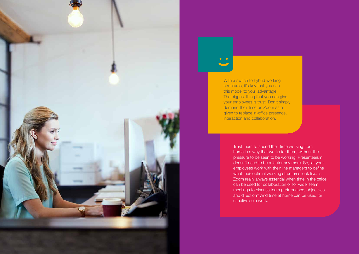Trust them to spend their time working from home in a way that works for them, without the pressure to be seen to be working. Presenteeism doesn't need to be a factor any more. So, let your employees work with their line managers to define what their optimal working structures look like. Is Zoom really always essential when time in the office can be used for collaboration or for wider team meetings to discuss team performance, objectives and direction? And time at home can be used for effective solo work.





With a switch to hybrid working structures, it's key that you use this model to your advantage. The biggest thing that you can give your employees is trust. Don't simply demand their time on Zoom as a given to replace in-office presence, interaction and collaboration.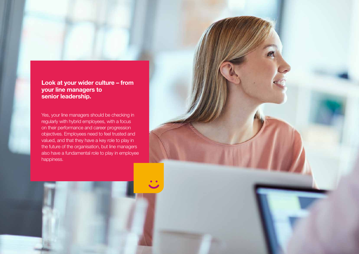### Look at your wider culture – from your line managers to senior leadership.

Yes, your line managers should be checking in regularly with hybrid employees, with a focus on their performance and career progression objectives. Employees need to feel trusted and valued, and that they have a key role to play in the future of the organisation, but line managers also have a fundamental role to play in employee happiness.

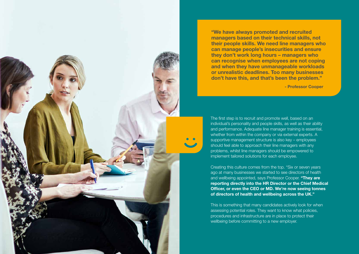The first step is to recruit and promote well, based on an individual's personality and people skills, as well as their ability and performance. Adequate line manager training is essential, whether from within the company or via external experts. A supportive management structure is also key – employees should feel able to approach their line managers with any problems, whilst line managers should be empowered to implement tailored solutions for each employee.

Creating this culture comes from the top. "Six or seven years ago at many businesses we started to see directors of health and wellbeing appointed, says Professor Cooper. "They are reporting directly into the HR Director or the Chief Medical Officer, or even the CEO or MD. We're now seeing tonnes of directors of health and wellbeing across the UK."

This is something that many candidates actively look for when assessing potential roles. They want to know what policies, procedures and infrastructure are in place to protect their wellbeing before committing to a new employer.



"We have always promoted and recruited managers based on their technical skills, not their people skills. We need line managers who can manage people's insecurities and ensure they don't work long hours – managers who can recognise when employees are not coping and when they have unmanageable workloads or unrealistic deadlines. Too many businesses don't have this, and that's been the problem."

- Professor Cooper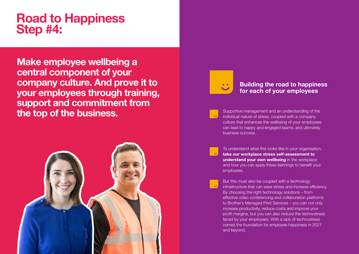To understand what this looks like in your organisation, [take our workplace stress self-assessment to](https://www.brother.co.uk/business-solutions/mps/employee-happiness)  understand your own wellbeing in the workplace and how you can apply these learnings to benefit your employees.

Supportive management and an understanding of the individual nature of stress, coupled with a company culture that enhances the wellbeing of your employees can lead to happy and engaged teams, and ultimately business success.



But this must also be coupled with a technology infrastructure that can ease stress and increase efficiency. By choosing the right technology solutions – from effective video conferencing and collaboration platforms to Brother's Managed Print Services – you can not only increase productivity, reduce costs and improve your profit margins, but you can also reduce the technostress faced by your employees. With a lack of technostress comes the foundation for employee happiness in 2021 and beyond.

### Building the road to happiness for each of your employees

# Road to Happiness Step #4:

Make employee wellbeing a central component of your company culture. And prove it to your employees through training, support and commitment from the top of the business.